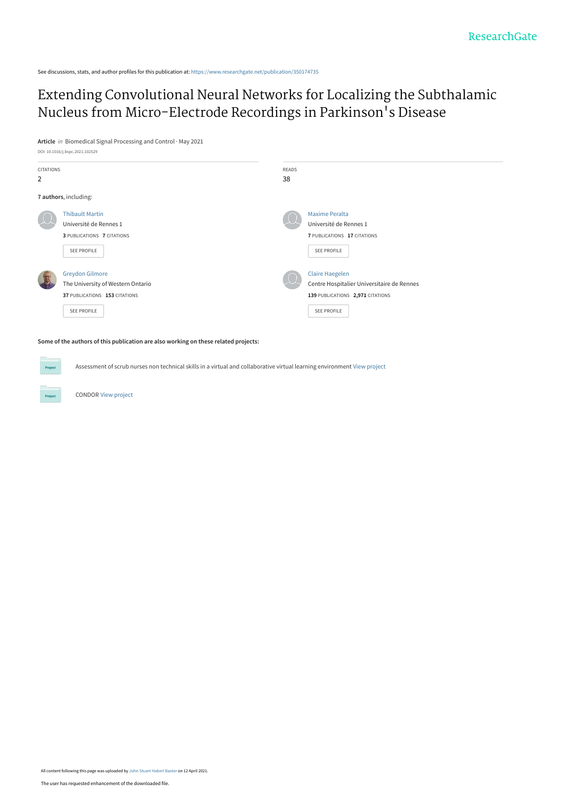See discussions, stats, and author profiles for this publication at: [https://www.researchgate.net/publication/350174735](https://www.researchgate.net/publication/350174735_Extending_Convolutional_Neural_Networks_for_Localizing_the_Subthalamic_Nucleus_from_Micro-Electrode_Recordings_in_Parkinson%27s_Disease?enrichId=rgreq-bdc15c5cafc832cbc0f466fdf98b8e88-XXX&enrichSource=Y292ZXJQYWdlOzM1MDE3NDczNTtBUzoxMDExNzkxOTgzMzA4ODAyQDE2MTgyNDE0MTUzNDg%3D&el=1_x_2&_esc=publicationCoverPdf)

[Extending Convolutional Neural Networks for Localizing the Subthalamic](https://www.researchgate.net/publication/350174735_Extending_Convolutional_Neural_Networks_for_Localizing_the_Subthalamic_Nucleus_from_Micro-Electrode_Recordings_in_Parkinson%27s_Disease?enrichId=rgreq-bdc15c5cafc832cbc0f466fdf98b8e88-XXX&enrichSource=Y292ZXJQYWdlOzM1MDE3NDczNTtBUzoxMDExNzkxOTgzMzA4ODAyQDE2MTgyNDE0MTUzNDg%3D&el=1_x_3&_esc=publicationCoverPdf) Nucleus from Micro-Electrode Recordings in Parkinson's Disease

**Article** in Biomedical Signal Processing and Control · May 2021



**Some of the authors of this publication are also working on these related projects:**

Assessment of scrub nurses non technical skills in a virtual and collaborative virtual learning environment [View project](https://www.researchgate.net/project/Assessment-of-scrub-nurses-non-technical-skills-in-a-virtual-and-collaborative-virtual-learning-environment?enrichId=rgreq-bdc15c5cafc832cbc0f466fdf98b8e88-XXX&enrichSource=Y292ZXJQYWdlOzM1MDE3NDczNTtBUzoxMDExNzkxOTgzMzA4ODAyQDE2MTgyNDE0MTUzNDg%3D&el=1_x_9&_esc=publicationCoverPdf)

CONDOR [View project](https://www.researchgate.net/project/CONDOR-3?enrichId=rgreq-bdc15c5cafc832cbc0f466fdf98b8e88-XXX&enrichSource=Y292ZXJQYWdlOzM1MDE3NDczNTtBUzoxMDExNzkxOTgzMzA4ODAyQDE2MTgyNDE0MTUzNDg%3D&el=1_x_9&_esc=publicationCoverPdf)

All content following this page was uploaded by [John Stuart Haberl Baxter](https://www.researchgate.net/profile/John-Baxter-10?enrichId=rgreq-bdc15c5cafc832cbc0f466fdf98b8e88-XXX&enrichSource=Y292ZXJQYWdlOzM1MDE3NDczNTtBUzoxMDExNzkxOTgzMzA4ODAyQDE2MTgyNDE0MTUzNDg%3D&el=1_x_10&_esc=publicationCoverPdf) on 12 April 2021.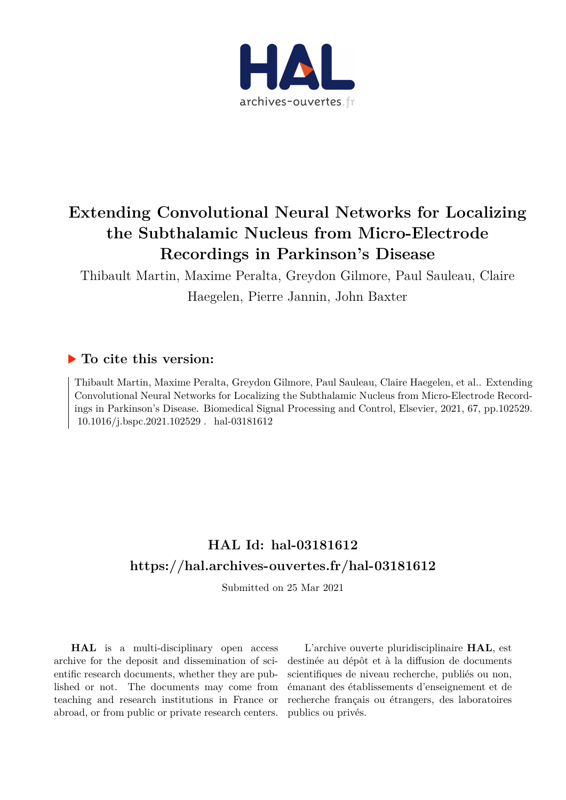

# **Extending Convolutional Neural Networks for Localizing the Subthalamic Nucleus from Micro-Electrode Recordings in Parkinson's Disease**

Thibault Martin, Maxime Peralta, Greydon Gilmore, Paul Sauleau, Claire

Haegelen, Pierre Jannin, John Baxter

# **To cite this version:**

Thibault Martin, Maxime Peralta, Greydon Gilmore, Paul Sauleau, Claire Haegelen, et al.. Extending Convolutional Neural Networks for Localizing the Subthalamic Nucleus from Micro-Electrode Recordings in Parkinson's Disease. Biomedical Signal Processing and Control, Elsevier, 2021, 67, pp.102529. 10.1016/j.bspc.2021.102529 . hal-03181612

# **HAL Id: hal-03181612 <https://hal.archives-ouvertes.fr/hal-03181612>**

Submitted on 25 Mar 2021

**HAL** is a multi-disciplinary open access archive for the deposit and dissemination of scientific research documents, whether they are published or not. The documents may come from teaching and research institutions in France or abroad, or from public or private research centers.

L'archive ouverte pluridisciplinaire **HAL**, est destinée au dépôt et à la diffusion de documents scientifiques de niveau recherche, publiés ou non, émanant des établissements d'enseignement et de recherche français ou étrangers, des laboratoires publics ou privés.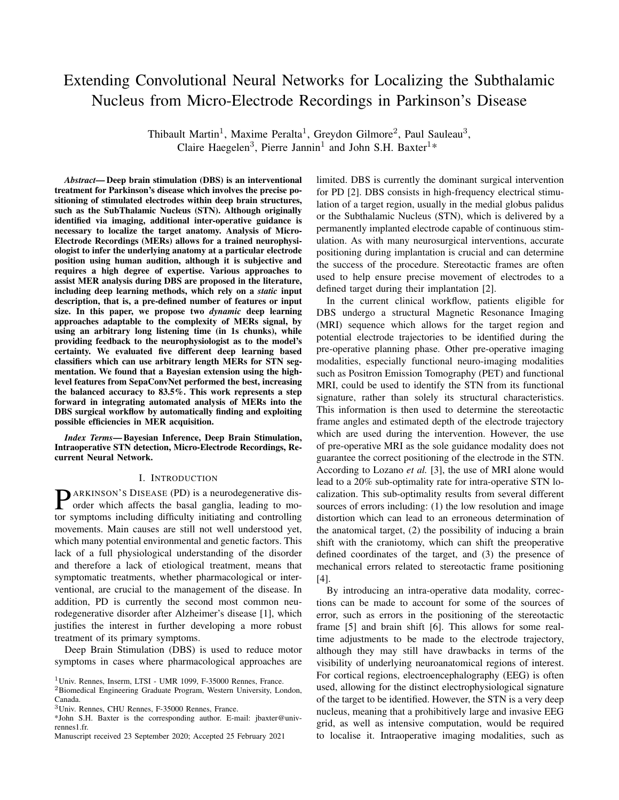# Extending Convolutional Neural Networks for Localizing the Subthalamic Nucleus from Micro-Electrode Recordings in Parkinson's Disease

Thibault Martin<sup>1</sup>, Maxime Peralta<sup>1</sup>, Greydon Gilmore<sup>2</sup>, Paul Sauleau<sup>3</sup>, Claire Haegelen<sup>3</sup>, Pierre Jannin<sup>1</sup> and John S.H. Baxter<sup>1</sup>\*

*Abstract*— Deep brain stimulation (DBS) is an interventional treatment for Parkinson's disease which involves the precise positioning of stimulated electrodes within deep brain structures, such as the SubThalamic Nucleus (STN). Although originally identified via imaging, additional inter-operative guidance is necessary to localize the target anatomy. Analysis of Micro-Electrode Recordings (MERs) allows for a trained neurophysiologist to infer the underlying anatomy at a particular electrode position using human audition, although it is subjective and requires a high degree of expertise. Various approaches to assist MER analysis during DBS are proposed in the literature, including deep learning methods, which rely on a *static* input description, that is, a pre-defined number of features or input size. In this paper, we propose two *dynamic* deep learning approaches adaptable to the complexity of MERs signal, by using an arbitrary long listening time (in 1s chunks), while providing feedback to the neurophysiologist as to the model's certainty. We evaluated five different deep learning based classifiers which can use arbitrary length MERs for STN segmentation. We found that a Bayesian extension using the highlevel features from SepaConvNet performed the best, increasing the balanced accuracy to 83.5%. This work represents a step forward in integrating automated analysis of MERs into the DBS surgical workflow by automatically finding and exploiting possible efficiencies in MER acquisition.

*Index Terms*— Bayesian Inference, Deep Brain Stimulation, Intraoperative STN detection, Micro-Electrode Recordings, Recurrent Neural Network.

# I. INTRODUCTION

**P**ARKINSON'S DISEASE (PD) is a neurodegenerative disorder which affects the basal ganglia, leading to moorder which affects the basal ganglia, leading to motor symptoms including difficulty initiating and controlling movements. Main causes are still not well understood yet, which many potential environmental and genetic factors. This lack of a full physiological understanding of the disorder and therefore a lack of etiological treatment, means that symptomatic treatments, whether pharmacological or interventional, are crucial to the management of the disease. In addition, PD is currently the second most common neurodegenerative disorder after Alzheimer's disease [1], which justifies the interest in further developing a more robust treatment of its primary symptoms.

Deep Brain Stimulation (DBS) is used to reduce motor symptoms in cases where pharmacological approaches are limited. DBS is currently the dominant surgical intervention for PD [2]. DBS consists in high-frequency electrical stimulation of a target region, usually in the medial globus palidus or the Subthalamic Nucleus (STN), which is delivered by a permanently implanted electrode capable of continuous stimulation. As with many neurosurgical interventions, accurate positioning during implantation is crucial and can determine the success of the procedure. Stereotactic frames are often used to help ensure precise movement of electrodes to a defined target during their implantation [2].

In the current clinical workflow, patients eligible for DBS undergo a structural Magnetic Resonance Imaging (MRI) sequence which allows for the target region and potential electrode trajectories to be identified during the pre-operative planning phase. Other pre-operative imaging modalities, especially functional neuro-imaging modalities such as Positron Emission Tomography (PET) and functional MRI, could be used to identify the STN from its functional signature, rather than solely its structural characteristics. This information is then used to determine the stereotactic frame angles and estimated depth of the electrode trajectory which are used during the intervention. However, the use of pre-operative MRI as the sole guidance modality does not guarantee the correct positioning of the electrode in the STN. According to Lozano *et al.* [3], the use of MRI alone would lead to a 20% sub-optimality rate for intra-operative STN localization. This sub-optimality results from several different sources of errors including: (1) the low resolution and image distortion which can lead to an erroneous determination of the anatomical target, (2) the possibility of inducing a brain shift with the craniotomy, which can shift the preoperative defined coordinates of the target, and (3) the presence of mechanical errors related to stereotactic frame positioning [4].

By introducing an intra-operative data modality, corrections can be made to account for some of the sources of error, such as errors in the positioning of the stereotactic frame [5] and brain shift [6]. This allows for some realtime adjustments to be made to the electrode trajectory, although they may still have drawbacks in terms of the visibility of underlying neuroanatomical regions of interest. For cortical regions, electroencephalography (EEG) is often used, allowing for the distinct electrophysiological signature of the target to be identified. However, the STN is a very deep nucleus, meaning that a prohibitively large and invasive EEG grid, as well as intensive computation, would be required to localise it. Intraoperative imaging modalities, such as

<sup>1</sup>Univ. Rennes, Inserm, LTSI - UMR 1099, F-35000 Rennes, France.

<sup>2</sup>Biomedical Engineering Graduate Program, Western University, London, Canada.

<sup>3</sup>Univ. Rennes, CHU Rennes, F-35000 Rennes, France.

<sup>\*</sup>John S.H. Baxter is the corresponding author. E-mail: jbaxter@univrennes1.fr.

Manuscript received 23 September 2020; Accepted 25 February 2021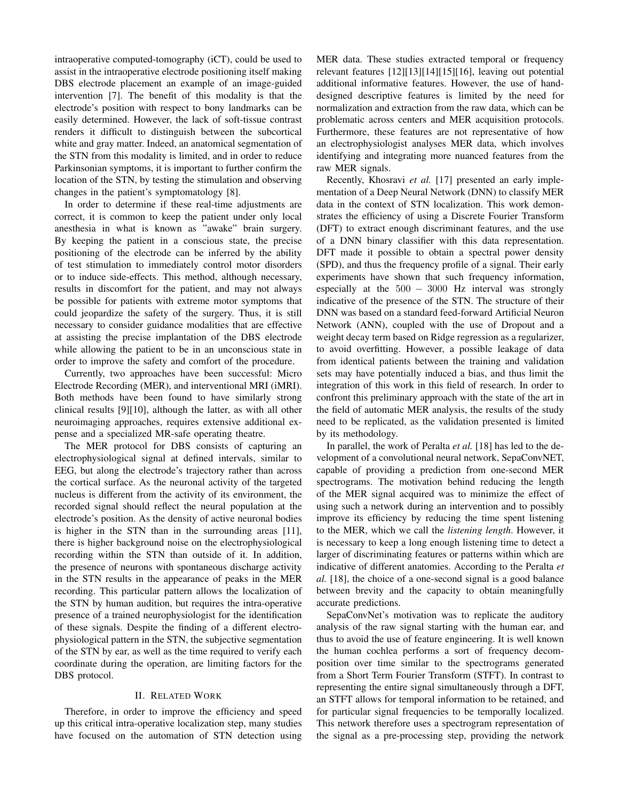intraoperative computed-tomography (iCT), could be used to assist in the intraoperative electrode positioning itself making DBS electrode placement an example of an image-guided intervention [7]. The benefit of this modality is that the electrode's position with respect to bony landmarks can be easily determined. However, the lack of soft-tissue contrast renders it difficult to distinguish between the subcortical white and gray matter. Indeed, an anatomical segmentation of the STN from this modality is limited, and in order to reduce Parkinsonian symptoms, it is important to further confirm the location of the STN, by testing the stimulation and observing changes in the patient's symptomatology [8].

In order to determine if these real-time adjustments are correct, it is common to keep the patient under only local anesthesia in what is known as "awake" brain surgery. By keeping the patient in a conscious state, the precise positioning of the electrode can be inferred by the ability of test stimulation to immediately control motor disorders or to induce side-effects. This method, although necessary, results in discomfort for the patient, and may not always be possible for patients with extreme motor symptoms that could jeopardize the safety of the surgery. Thus, it is still necessary to consider guidance modalities that are effective at assisting the precise implantation of the DBS electrode while allowing the patient to be in an unconscious state in order to improve the safety and comfort of the procedure.

Currently, two approaches have been successful: Micro Electrode Recording (MER), and interventional MRI (iMRI). Both methods have been found to have similarly strong clinical results [9][10], although the latter, as with all other neuroimaging approaches, requires extensive additional expense and a specialized MR-safe operating theatre.

The MER protocol for DBS consists of capturing an electrophysiological signal at defined intervals, similar to EEG, but along the electrode's trajectory rather than across the cortical surface. As the neuronal activity of the targeted nucleus is different from the activity of its environment, the recorded signal should reflect the neural population at the electrode's position. As the density of active neuronal bodies is higher in the STN than in the surrounding areas [11], there is higher background noise on the electrophysiological recording within the STN than outside of it. In addition, the presence of neurons with spontaneous discharge activity in the STN results in the appearance of peaks in the MER recording. This particular pattern allows the localization of the STN by human audition, but requires the intra-operative presence of a trained neurophysiologist for the identification of these signals. Despite the finding of a different electrophysiological pattern in the STN, the subjective segmentation of the STN by ear, as well as the time required to verify each coordinate during the operation, are limiting factors for the DBS protocol.

### II. RELATED WORK

Therefore, in order to improve the efficiency and speed up this critical intra-operative localization step, many studies have focused on the automation of STN detection using MER data. These studies extracted temporal or frequency relevant features [12][13][14][15][16], leaving out potential additional informative features. However, the use of handdesigned descriptive features is limited by the need for normalization and extraction from the raw data, which can be problematic across centers and MER acquisition protocols. Furthermore, these features are not representative of how an electrophysiologist analyses MER data, which involves identifying and integrating more nuanced features from the raw MER signals.

Recently, Khosravi *et al.* [17] presented an early implementation of a Deep Neural Network (DNN) to classify MER data in the context of STN localization. This work demonstrates the efficiency of using a Discrete Fourier Transform (DFT) to extract enough discriminant features, and the use of a DNN binary classifier with this data representation. DFT made it possible to obtain a spectral power density (SPD), and thus the frequency profile of a signal. Their early experiments have shown that such frequency information, especially at the 500 − 3000 Hz interval was strongly indicative of the presence of the STN. The structure of their DNN was based on a standard feed-forward Artificial Neuron Network (ANN), coupled with the use of Dropout and a weight decay term based on Ridge regression as a regularizer, to avoid overfitting. However, a possible leakage of data from identical patients between the training and validation sets may have potentially induced a bias, and thus limit the integration of this work in this field of research. In order to confront this preliminary approach with the state of the art in the field of automatic MER analysis, the results of the study need to be replicated, as the validation presented is limited by its methodology.

In parallel, the work of Peralta *et al.* [18] has led to the development of a convolutional neural network, SepaConvNET, capable of providing a prediction from one-second MER spectrograms. The motivation behind reducing the length of the MER signal acquired was to minimize the effect of using such a network during an intervention and to possibly improve its efficiency by reducing the time spent listening to the MER, which we call the *listening length*. However, it is necessary to keep a long enough listening time to detect a larger of discriminating features or patterns within which are indicative of different anatomies. According to the Peralta *et al.* [18], the choice of a one-second signal is a good balance between brevity and the capacity to obtain meaningfully accurate predictions.

SepaConvNet's motivation was to replicate the auditory analysis of the raw signal starting with the human ear, and thus to avoid the use of feature engineering. It is well known the human cochlea performs a sort of frequency decomposition over time similar to the spectrograms generated from a Short Term Fourier Transform (STFT). In contrast to representing the entire signal simultaneously through a DFT, an STFT allows for temporal information to be retained, and for particular signal frequencies to be temporally localized. This network therefore uses a spectrogram representation of the signal as a pre-processing step, providing the network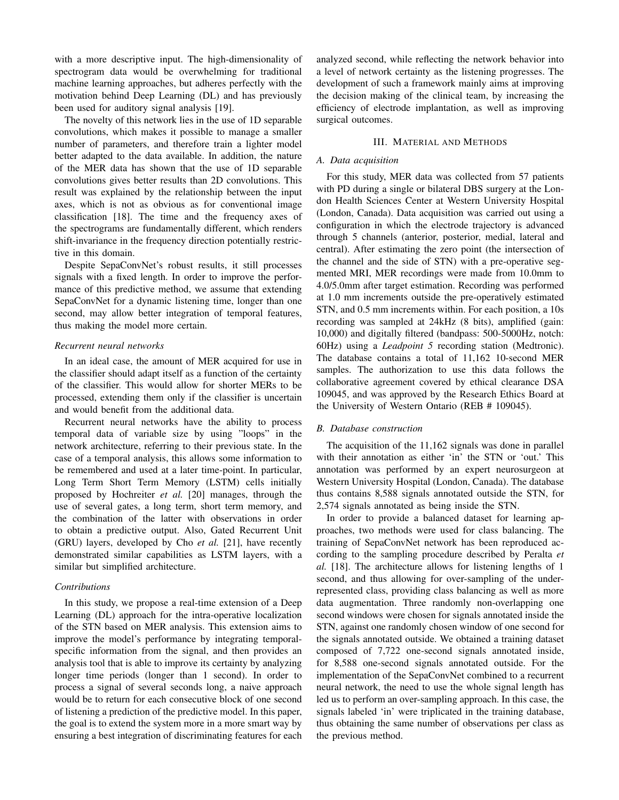with a more descriptive input. The high-dimensionality of spectrogram data would be overwhelming for traditional machine learning approaches, but adheres perfectly with the motivation behind Deep Learning (DL) and has previously been used for auditory signal analysis [19].

The novelty of this network lies in the use of 1D separable convolutions, which makes it possible to manage a smaller number of parameters, and therefore train a lighter model better adapted to the data available. In addition, the nature of the MER data has shown that the use of 1D separable convolutions gives better results than 2D convolutions. This result was explained by the relationship between the input axes, which is not as obvious as for conventional image classification [18]. The time and the frequency axes of the spectrograms are fundamentally different, which renders shift-invariance in the frequency direction potentially restrictive in this domain.

Despite SepaConvNet's robust results, it still processes signals with a fixed length. In order to improve the performance of this predictive method, we assume that extending SepaConvNet for a dynamic listening time, longer than one second, may allow better integration of temporal features, thus making the model more certain.

### *Recurrent neural networks*

In an ideal case, the amount of MER acquired for use in the classifier should adapt itself as a function of the certainty of the classifier. This would allow for shorter MERs to be processed, extending them only if the classifier is uncertain and would benefit from the additional data.

Recurrent neural networks have the ability to process temporal data of variable size by using "loops" in the network architecture, referring to their previous state. In the case of a temporal analysis, this allows some information to be remembered and used at a later time-point. In particular, Long Term Short Term Memory (LSTM) cells initially proposed by Hochreiter *et al.* [20] manages, through the use of several gates, a long term, short term memory, and the combination of the latter with observations in order to obtain a predictive output. Also, Gated Recurrent Unit (GRU) layers, developed by Cho *et al.* [21], have recently demonstrated similar capabilities as LSTM layers, with a similar but simplified architecture.

# *Contributions*

In this study, we propose a real-time extension of a Deep Learning (DL) approach for the intra-operative localization of the STN based on MER analysis. This extension aims to improve the model's performance by integrating temporalspecific information from the signal, and then provides an analysis tool that is able to improve its certainty by analyzing longer time periods (longer than 1 second). In order to process a signal of several seconds long, a naive approach would be to return for each consecutive block of one second of listening a prediction of the predictive model. In this paper, the goal is to extend the system more in a more smart way by ensuring a best integration of discriminating features for each

analyzed second, while reflecting the network behavior into a level of network certainty as the listening progresses. The development of such a framework mainly aims at improving the decision making of the clinical team, by increasing the efficiency of electrode implantation, as well as improving surgical outcomes.

# III. MATERIAL AND METHODS

# *A. Data acquisition*

For this study, MER data was collected from 57 patients with PD during a single or bilateral DBS surgery at the London Health Sciences Center at Western University Hospital (London, Canada). Data acquisition was carried out using a configuration in which the electrode trajectory is advanced through 5 channels (anterior, posterior, medial, lateral and central). After estimating the zero point (the intersection of the channel and the side of STN) with a pre-operative segmented MRI, MER recordings were made from 10.0mm to 4.0/5.0mm after target estimation. Recording was performed at 1.0 mm increments outside the pre-operatively estimated STN, and 0.5 mm increments within. For each position, a 10s recording was sampled at 24kHz (8 bits), amplified (gain: 10,000) and digitally filtered (bandpass: 500-5000Hz, notch: 60Hz) using a *Leadpoint 5* recording station (Medtronic). The database contains a total of 11,162 10-second MER samples. The authorization to use this data follows the collaborative agreement covered by ethical clearance DSA 109045, and was approved by the Research Ethics Board at the University of Western Ontario (REB # 109045).

# *B. Database construction*

The acquisition of the 11,162 signals was done in parallel with their annotation as either 'in' the STN or 'out.' This annotation was performed by an expert neurosurgeon at Western University Hospital (London, Canada). The database thus contains 8,588 signals annotated outside the STN, for 2,574 signals annotated as being inside the STN.

In order to provide a balanced dataset for learning approaches, two methods were used for class balancing. The training of SepaConvNet network has been reproduced according to the sampling procedure described by Peralta *et al.* [18]. The architecture allows for listening lengths of 1 second, and thus allowing for over-sampling of the underrepresented class, providing class balancing as well as more data augmentation. Three randomly non-overlapping one second windows were chosen for signals annotated inside the STN, against one randomly chosen window of one second for the signals annotated outside. We obtained a training dataset composed of 7,722 one-second signals annotated inside, for 8,588 one-second signals annotated outside. For the implementation of the SepaConvNet combined to a recurrent neural network, the need to use the whole signal length has led us to perform an over-sampling approach. In this case, the signals labeled 'in' were triplicated in the training database, thus obtaining the same number of observations per class as the previous method.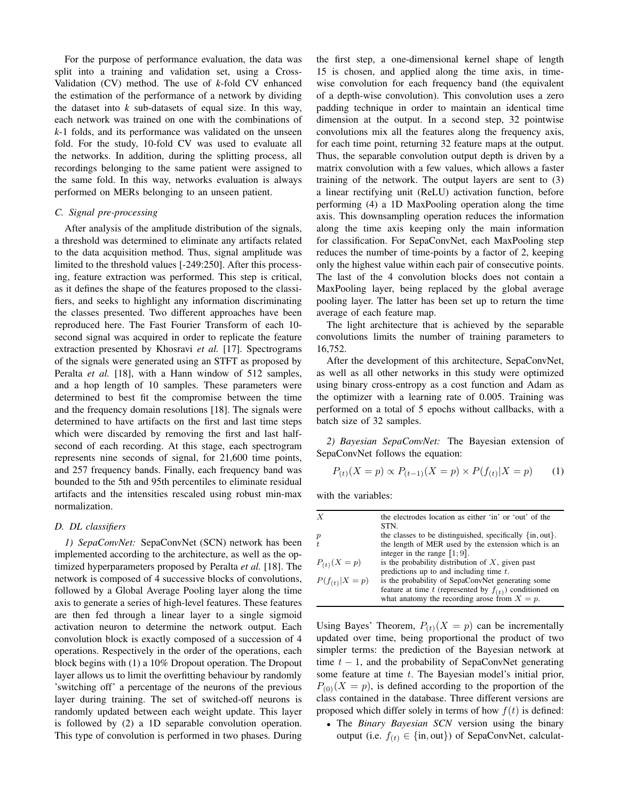For the purpose of performance evaluation, the data was split into a training and validation set, using a Cross-Validation (CV) method. The use of *k*-fold CV enhanced the estimation of the performance of a network by dividing the dataset into *k* sub-datasets of equal size. In this way, each network was trained on one with the combinations of *k*-1 folds, and its performance was validated on the unseen fold. For the study, 10-fold CV was used to evaluate all the networks. In addition, during the splitting process, all recordings belonging to the same patient were assigned to the same fold. In this way, networks evaluation is always performed on MERs belonging to an unseen patient.

#### *C. Signal pre-processing*

After analysis of the amplitude distribution of the signals, a threshold was determined to eliminate any artifacts related to the data acquisition method. Thus, signal amplitude was limited to the threshold values [-249:250]. After this processing, feature extraction was performed. This step is critical, as it defines the shape of the features proposed to the classifiers, and seeks to highlight any information discriminating the classes presented. Two different approaches have been reproduced here. The Fast Fourier Transform of each 10 second signal was acquired in order to replicate the feature extraction presented by Khosravi *et al.* [17]. Spectrograms of the signals were generated using an STFT as proposed by Peralta *et al.* [18], with a Hann window of 512 samples, and a hop length of 10 samples. These parameters were determined to best fit the compromise between the time and the frequency domain resolutions [18]. The signals were determined to have artifacts on the first and last time steps which were discarded by removing the first and last halfsecond of each recording. At this stage, each spectrogram represents nine seconds of signal, for 21,600 time points, and 257 frequency bands. Finally, each frequency band was bounded to the 5th and 95th percentiles to eliminate residual artifacts and the intensities rescaled using robust min-max normalization.

# *D. DL classifiers*

*1) SepaConvNet:* SepaConvNet (SCN) network has been implemented according to the architecture, as well as the optimized hyperparameters proposed by Peralta *et al.* [18]. The network is composed of 4 successive blocks of convolutions, followed by a Global Average Pooling layer along the time axis to generate a series of high-level features. These features are then fed through a linear layer to a single sigmoid activation neuron to determine the network output. Each convolution block is exactly composed of a succession of 4 operations. Respectively in the order of the operations, each block begins with (1) a 10% Dropout operation. The Dropout layer allows us to limit the overfitting behaviour by randomly 'switching off' a percentage of the neurons of the previous layer during training. The set of switched-off neurons is randomly updated between each weight update. This layer is followed by (2) a 1D separable convolution operation. This type of convolution is performed in two phases. During

the first step, a one-dimensional kernel shape of length 15 is chosen, and applied along the time axis, in timewise convolution for each frequency band (the equivalent of a depth-wise convolution). This convolution uses a zero padding technique in order to maintain an identical time dimension at the output. In a second step, 32 pointwise convolutions mix all the features along the frequency axis, for each time point, returning 32 feature maps at the output. Thus, the separable convolution output depth is driven by a matrix convolution with a few values, which allows a faster training of the network. The output layers are sent to (3) a linear rectifying unit (ReLU) activation function, before performing (4) a 1D MaxPooling operation along the time axis. This downsampling operation reduces the information along the time axis keeping only the main information for classification. For SepaConvNet, each MaxPooling step reduces the number of time-points by a factor of 2, keeping only the highest value within each pair of consecutive points. The last of the 4 convolution blocks does not contain a MaxPooling layer, being replaced by the global average pooling layer. The latter has been set up to return the time average of each feature map.

The light architecture that is achieved by the separable convolutions limits the number of training parameters to 16,752.

After the development of this architecture, SepaConvNet, as well as all other networks in this study were optimized using binary cross-entropy as a cost function and Adam as the optimizer with a learning rate of 0.005. Training was performed on a total of 5 epochs without callbacks, with a batch size of 32 samples.

*2) Bayesian SepaConvNet:* The Bayesian extension of SepaConvNet follows the equation:

$$
P_{(t)}(X = p) \propto P_{(t-1)}(X = p) \times P(f_{(t)}|X = p) \tag{1}
$$

with the variables:

| $\boldsymbol{X}$   | the electrodes location as either 'in' or 'out' of the<br>STN.                                               |
|--------------------|--------------------------------------------------------------------------------------------------------------|
|                    |                                                                                                              |
| $\boldsymbol{p}$   | the classes to be distinguished, specifically $\{in, out\}$ .                                                |
| t                  | the length of MER used by the extension which is an                                                          |
|                    | integer in the range $\llbracket 1; 9 \rrbracket$ .                                                          |
| $P_{(t)}(X=p)$     | is the probability distribution of $X$ , given past                                                          |
|                    | predictions up to and including time $t$ .                                                                   |
| $P(f_{(t)} X = p)$ | is the probability of SepaConvNet generating some                                                            |
|                    | feature at time t (represented by $f(t)$ ) conditioned on<br>what anatomy the recording arose from $X = p$ . |

Using Bayes' Theorem,  $P_{(t)}(X = p)$  can be incrementally updated over time, being proportional the product of two simpler terms: the prediction of the Bayesian network at time  $t - 1$ , and the probability of SepaConvNet generating some feature at time  $t$ . The Bayesian model's initial prior,  $P_{(0)}(X = p)$ , is defined according to the proportion of the class contained in the database. Three different versions are proposed which differ solely in terms of how  $f(t)$  is defined:

• The *Binary Bayesian SCN* version using the binary output (i.e.  $f(t) \in \{\text{in}, \text{out}\}\)$  of SepaConvNet, calculat-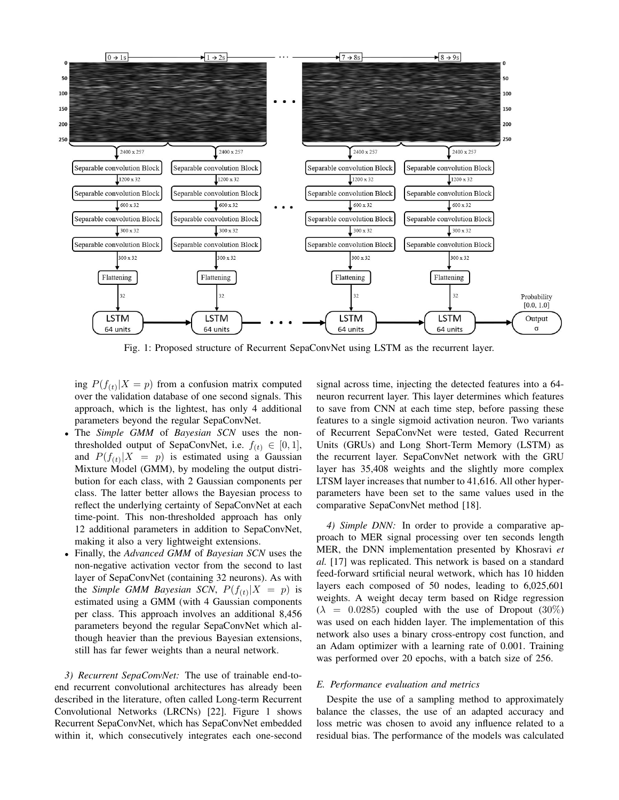

Fig. 1: Proposed structure of Recurrent SepaConvNet using LSTM as the recurrent layer.

ing  $P(f_{(t)}|X = p)$  from a confusion matrix computed over the validation database of one second signals. This approach, which is the lightest, has only 4 additional parameters beyond the regular SepaConvNet.

- The *Simple GMM* of *Bayesian SCN* uses the nonthresholded output of SepaConvNet, i.e.  $f(t) \in [0, 1]$ , and  $P(f_{(t)}|X = p)$  is estimated using a Gaussian Mixture Model (GMM), by modeling the output distribution for each class, with 2 Gaussian components per class. The latter better allows the Bayesian process to reflect the underlying certainty of SepaConvNet at each time-point. This non-thresholded approach has only 12 additional parameters in addition to SepaConvNet, making it also a very lightweight extensions.
- Finally, the *Advanced GMM* of *Bayesian SCN* uses the non-negative activation vector from the second to last layer of SepaConvNet (containing 32 neurons). As with the *Simple GMM Bayesian SCN*,  $P(f_{(t)}|X = p)$  is estimated using a GMM (with 4 Gaussian components per class. This approach involves an additional 8,456 parameters beyond the regular SepaConvNet which although heavier than the previous Bayesian extensions, still has far fewer weights than a neural network.

*3) Recurrent SepaConvNet:* The use of trainable end-toend recurrent convolutional architectures has already been described in the literature, often called Long-term Recurrent Convolutional Networks (LRCNs) [22]. Figure 1 shows Recurrent SepaConvNet, which has SepaConvNet embedded within it, which consecutively integrates each one-second

signal across time, injecting the detected features into a 64 neuron recurrent layer. This layer determines which features to save from CNN at each time step, before passing these features to a single sigmoid activation neuron. Two variants of Recurrent SepaConvNet were tested, Gated Recurrent Units (GRUs) and Long Short-Term Memory (LSTM) as the recurrent layer. SepaConvNet network with the GRU layer has 35,408 weights and the slightly more complex LTSM layer increases that number to 41,616. All other hyperparameters have been set to the same values used in the comparative SepaConvNet method [18].

*4) Simple DNN:* In order to provide a comparative approach to MER signal processing over ten seconds length MER, the DNN implementation presented by Khosravi *et al.* [17] was replicated. This network is based on a standard feed-forward srtificial neural wetwork, which has 10 hidden layers each composed of 50 nodes, leading to 6,025,601 weights. A weight decay term based on Ridge regression  $(\lambda = 0.0285)$  coupled with the use of Dropout (30%) was used on each hidden layer. The implementation of this network also uses a binary cross-entropy cost function, and an Adam optimizer with a learning rate of 0.001. Training was performed over 20 epochs, with a batch size of 256.

#### *E. Performance evaluation and metrics*

Despite the use of a sampling method to approximately balance the classes, the use of an adapted accuracy and loss metric was chosen to avoid any influence related to a residual bias. The performance of the models was calculated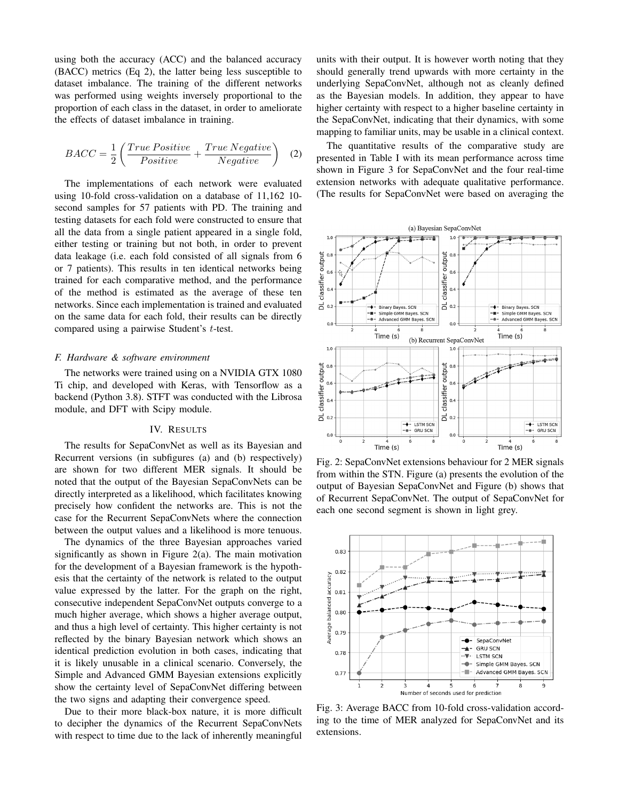using both the accuracy (ACC) and the balanced accuracy (BACC) metrics (Eq 2), the latter being less susceptible to dataset imbalance. The training of the different networks was performed using weights inversely proportional to the proportion of each class in the dataset, in order to ameliorate the effects of dataset imbalance in training.

$$
BACC = \frac{1}{2} \left( \frac{True \ Positive}{Positive} + \frac{True \ Negative}{Negative} \right) \quad (2)
$$

The implementations of each network were evaluated using 10-fold cross-validation on a database of 11,162 10 second samples for 57 patients with PD. The training and testing datasets for each fold were constructed to ensure that all the data from a single patient appeared in a single fold, either testing or training but not both, in order to prevent data leakage (i.e. each fold consisted of all signals from 6 or 7 patients). This results in ten identical networks being trained for each comparative method, and the performance of the method is estimated as the average of these ten networks. Since each implementation is trained and evaluated on the same data for each fold, their results can be directly compared using a pairwise Student's t-test.

#### *F. Hardware & software environment*

The networks were trained using on a NVIDIA GTX 1080 Ti chip, and developed with Keras, with Tensorflow as a backend (Python 3.8). STFT was conducted with the Librosa module, and DFT with Scipy module.

#### IV. RESULTS

The results for SepaConvNet as well as its Bayesian and Recurrent versions (in subfigures (a) and (b) respectively) are shown for two different MER signals. It should be noted that the output of the Bayesian SepaConvNets can be directly interpreted as a likelihood, which facilitates knowing precisely how confident the networks are. This is not the case for the Recurrent SepaConvNets where the connection between the output values and a likelihood is more tenuous.

The dynamics of the three Bayesian approaches varied significantly as shown in Figure  $2(a)$ . The main motivation for the development of a Bayesian framework is the hypothesis that the certainty of the network is related to the output value expressed by the latter. For the graph on the right, consecutive independent SepaConvNet outputs converge to a much higher average, which shows a higher average output, and thus a high level of certainty. This higher certainty is not reflected by the binary Bayesian network which shows an identical prediction evolution in both cases, indicating that it is likely unusable in a clinical scenario. Conversely, the Simple and Advanced GMM Bayesian extensions explicitly show the certainty level of SepaConvNet differing between the two signs and adapting their convergence speed.

Due to their more black-box nature, it is more difficult to decipher the dynamics of the Recurrent SepaConvNets with respect to time due to the lack of inherently meaningful units with their output. It is however worth noting that they should generally trend upwards with more certainty in the underlying SepaConvNet, although not as cleanly defined as the Bayesian models. In addition, they appear to have higher certainty with respect to a higher baseline certainty in the SepaConvNet, indicating that their dynamics, with some mapping to familiar units, may be usable in a clinical context.

The quantitative results of the comparative study are presented in Table I with its mean performance across time shown in Figure 3 for SepaConvNet and the four real-time extension networks with adequate qualitative performance. (The results for SepaConvNet were based on averaging the



Fig. 2: SepaConvNet extensions behaviour for 2 MER signals from within the STN. Figure (a) presents the evolution of the output of Bayesian SepaConvNet and Figure (b) shows that of Recurrent SepaConvNet. The output of SepaConvNet for each one second segment is shown in light grey.



Fig. 3: Average BACC from 10-fold cross-validation according to the time of MER analyzed for SepaConvNet and its extensions.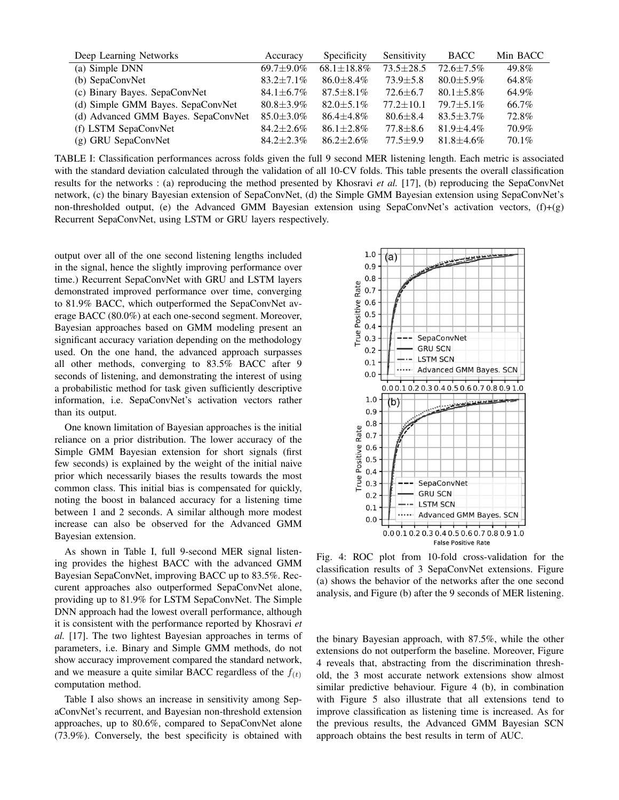| Deep Learning Networks              | Accuracy         | Specificity      | Sensitivity     | <b>BACC</b>    | Min BACC |
|-------------------------------------|------------------|------------------|-----------------|----------------|----------|
| (a) Simple DNN                      | $69.7 + 9.0\%$   | $68.1 + 18.8\%$  | $73.5 + 28.5$   | $72.6 + 7.5\%$ | 49.8%    |
| (b) SepaConvNet                     | $83.2 + 7.1\%$   | $86.0 \pm 8.4\%$ | $73.9 + 5.8$    | $80.0 + 5.9\%$ | 64.8%    |
| (c) Binary Bayes. SepaConvNet       | $84.1 \pm 6.7\%$ | $87.5 \pm 8.1\%$ | $72.6 \pm 6.7$  | $80.1 + 5.8\%$ | 64.9%    |
| (d) Simple GMM Bayes. SepaConvNet   | $80.8 + 3.9\%$   | $82.0 + 5.1\%$   | $77.2 \pm 10.1$ | $79.7 + 5.1\%$ | 66.7%    |
| (d) Advanced GMM Bayes. SepaConvNet | $85.0 + 3.0\%$   | $86.4 \pm 4.8\%$ | $80.6 \pm 8.4$  | $83.5 + 3.7\%$ | 72.8%    |
| (f) LSTM SepaConvNet                | $84.2 + 2.6\%$   | $86.1 \pm 2.8\%$ | $77.8 \pm 8.6$  | $81.9 + 4.4\%$ | 70.9%    |
| (g) GRU SepaConvNet                 | $84.2 + 2.3\%$   | $86.2 + 2.6\%$   | $77.5 + 9.9$    | $81.8 + 4.6\%$ | $70.1\%$ |

TABLE I: Classification performances across folds given the full 9 second MER listening length. Each metric is associated with the standard deviation calculated through the validation of all 10-CV folds. This table presents the overall classification results for the networks : (a) reproducing the method presented by Khosravi *et al.* [17], (b) reproducing the SepaConvNet network, (c) the binary Bayesian extension of SepaConvNet, (d) the Simple GMM Bayesian extension using SepaConvNet's non-thresholded output, (e) the Advanced GMM Bayesian extension using SepaConvNet's activation vectors, (f)+(g) Recurrent SepaConvNet, using LSTM or GRU layers respectively.

output over all of the one second listening lengths included in the signal, hence the slightly improving performance over time.) Recurrent SepaConvNet with GRU and LSTM layers demonstrated improved performance over time, converging to 81.9% BACC, which outperformed the SepaConvNet average BACC (80.0%) at each one-second segment. Moreover, Bayesian approaches based on GMM modeling present an significant accuracy variation depending on the methodology used. On the one hand, the advanced approach surpasses all other methods, converging to 83.5% BACC after 9 seconds of listening, and demonstrating the interest of using a probabilistic method for task given sufficiently descriptive information, i.e. SepaConvNet's activation vectors rather than its output.

One known limitation of Bayesian approaches is the initial reliance on a prior distribution. The lower accuracy of the Simple GMM Bayesian extension for short signals (first few seconds) is explained by the weight of the initial naive prior which necessarily biases the results towards the most common class. This initial bias is compensated for quickly, noting the boost in balanced accuracy for a listening time between 1 and 2 seconds. A similar although more modest increase can also be observed for the Advanced GMM Bayesian extension.

As shown in Table I, full 9-second MER signal listening provides the highest BACC with the advanced GMM Bayesian SepaConvNet, improving BACC up to 83.5%. Reccurent approaches also outperformed SepaConvNet alone, providing up to 81.9% for LSTM SepaConvNet. The Simple DNN approach had the lowest overall performance, although it is consistent with the performance reported by Khosravi *et al.* [17]. The two lightest Bayesian approaches in terms of parameters, i.e. Binary and Simple GMM methods, do not show accuracy improvement compared the standard network, and we measure a quite similar BACC regardless of the  $f(t)$ computation method.

Table I also shows an increase in sensitivity among SepaConvNet's recurrent, and Bayesian non-threshold extension approaches, up to 80.6%, compared to SepaConvNet alone (73.9%). Conversely, the best specificity is obtained with



Fig. 4: ROC plot from 10-fold cross-validation for the classification results of 3 SepaConvNet extensions. Figure (a) shows the behavior of the networks after the one second analysis, and Figure (b) after the 9 seconds of MER listening.

the binary Bayesian approach, with 87.5%, while the other extensions do not outperform the baseline. Moreover, Figure 4 reveals that, abstracting from the discrimination threshold, the 3 most accurate network extensions show almost similar predictive behaviour. Figure 4 (b), in combination with Figure 5 also illustrate that all extensions tend to improve classification as listening time is increased. As for the previous results, the Advanced GMM Bayesian SCN approach obtains the best results in term of AUC.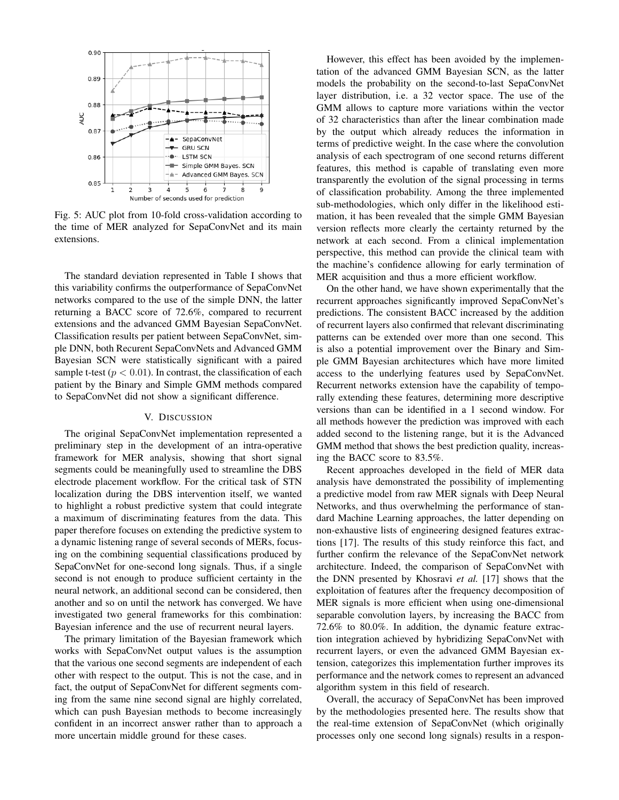

Fig. 5: AUC plot from 10-fold cross-validation according to the time of MER analyzed for SepaConvNet and its main extensions.

The standard deviation represented in Table I shows that this variability confirms the outperformance of SepaConvNet networks compared to the use of the simple DNN, the latter returning a BACC score of 72.6%, compared to recurrent extensions and the advanced GMM Bayesian SepaConvNet. Classification results per patient between SepaConvNet, simple DNN, both Recurent SepaConvNets and Advanced GMM Bayesian SCN were statistically significant with a paired sample t-test ( $p < 0.01$ ). In contrast, the classification of each patient by the Binary and Simple GMM methods compared to SepaConvNet did not show a significant difference.

# V. DISCUSSION

The original SepaConvNet implementation represented a preliminary step in the development of an intra-operative framework for MER analysis, showing that short signal segments could be meaningfully used to streamline the DBS electrode placement workflow. For the critical task of STN localization during the DBS intervention itself, we wanted to highlight a robust predictive system that could integrate a maximum of discriminating features from the data. This paper therefore focuses on extending the predictive system to a dynamic listening range of several seconds of MERs, focusing on the combining sequential classifications produced by SepaConvNet for one-second long signals. Thus, if a single second is not enough to produce sufficient certainty in the neural network, an additional second can be considered, then another and so on until the network has converged. We have investigated two general frameworks for this combination: Bayesian inference and the use of recurrent neural layers.

The primary limitation of the Bayesian framework which works with SepaConvNet output values is the assumption that the various one second segments are independent of each other with respect to the output. This is not the case, and in fact, the output of SepaConvNet for different segments coming from the same nine second signal are highly correlated, which can push Bayesian methods to become increasingly confident in an incorrect answer rather than to approach a more uncertain middle ground for these cases.

However, this effect has been avoided by the implementation of the advanced GMM Bayesian SCN, as the latter models the probability on the second-to-last SepaConvNet layer distribution, i.e. a 32 vector space. The use of the GMM allows to capture more variations within the vector of 32 characteristics than after the linear combination made by the output which already reduces the information in terms of predictive weight. In the case where the convolution analysis of each spectrogram of one second returns different features, this method is capable of translating even more transparently the evolution of the signal processing in terms of classification probability. Among the three implemented sub-methodologies, which only differ in the likelihood estimation, it has been revealed that the simple GMM Bayesian version reflects more clearly the certainty returned by the network at each second. From a clinical implementation perspective, this method can provide the clinical team with the machine's confidence allowing for early termination of MER acquisition and thus a more efficient workflow.

On the other hand, we have shown experimentally that the recurrent approaches significantly improved SepaConvNet's predictions. The consistent BACC increased by the addition of recurrent layers also confirmed that relevant discriminating patterns can be extended over more than one second. This is also a potential improvement over the Binary and Simple GMM Bayesian architectures which have more limited access to the underlying features used by SepaConvNet. Recurrent networks extension have the capability of temporally extending these features, determining more descriptive versions than can be identified in a 1 second window. For all methods however the prediction was improved with each added second to the listening range, but it is the Advanced GMM method that shows the best prediction quality, increasing the BACC score to 83.5%.

Recent approaches developed in the field of MER data analysis have demonstrated the possibility of implementing a predictive model from raw MER signals with Deep Neural Networks, and thus overwhelming the performance of standard Machine Learning approaches, the latter depending on non-exhaustive lists of engineering designed features extractions [17]. The results of this study reinforce this fact, and further confirm the relevance of the SepaConvNet network architecture. Indeed, the comparison of SepaConvNet with the DNN presented by Khosravi *et al.* [17] shows that the exploitation of features after the frequency decomposition of MER signals is more efficient when using one-dimensional separable convolution layers, by increasing the BACC from 72.6% to 80.0%. In addition, the dynamic feature extraction integration achieved by hybridizing SepaConvNet with recurrent layers, or even the advanced GMM Bayesian extension, categorizes this implementation further improves its performance and the network comes to represent an advanced algorithm system in this field of research.

Overall, the accuracy of SepaConvNet has been improved by the methodologies presented here. The results show that the real-time extension of SepaConvNet (which originally processes only one second long signals) results in a respon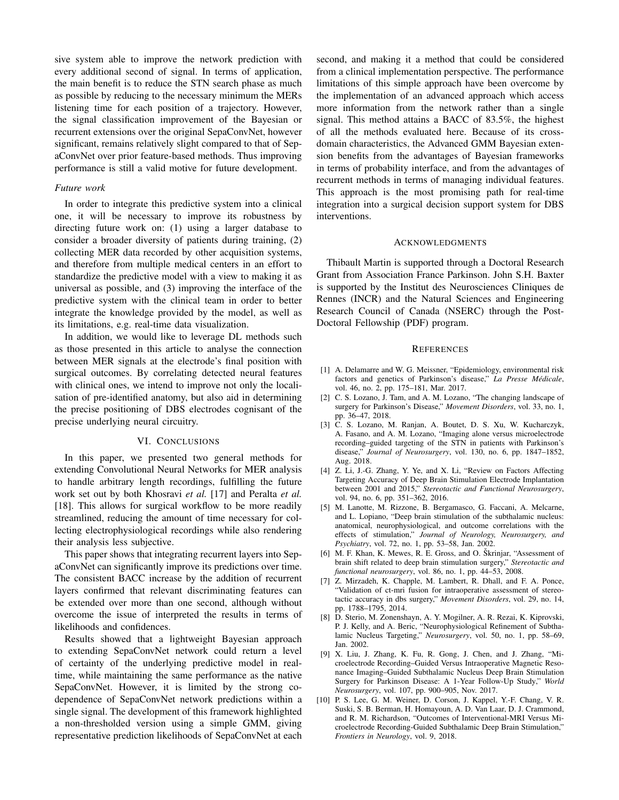sive system able to improve the network prediction with every additional second of signal. In terms of application, the main benefit is to reduce the STN search phase as much as possible by reducing to the necessary minimum the MERs listening time for each position of a trajectory. However, the signal classification improvement of the Bayesian or recurrent extensions over the original SepaConvNet, however significant, remains relatively slight compared to that of SepaConvNet over prior feature-based methods. Thus improving performance is still a valid motive for future development.

# *Future work*

In order to integrate this predictive system into a clinical one, it will be necessary to improve its robustness by directing future work on: (1) using a larger database to consider a broader diversity of patients during training, (2) collecting MER data recorded by other acquisition systems, and therefore from multiple medical centers in an effort to standardize the predictive model with a view to making it as universal as possible, and (3) improving the interface of the predictive system with the clinical team in order to better integrate the knowledge provided by the model, as well as its limitations, e.g. real-time data visualization.

In addition, we would like to leverage DL methods such as those presented in this article to analyse the connection between MER signals at the electrode's final position with surgical outcomes. By correlating detected neural features with clinical ones, we intend to improve not only the localisation of pre-identified anatomy, but also aid in determining the precise positioning of DBS electrodes cognisant of the precise underlying neural circuitry.

#### VI. CONCLUSIONS

In this paper, we presented two general methods for extending Convolutional Neural Networks for MER analysis to handle arbitrary length recordings, fulfilling the future work set out by both Khosravi *et al.* [17] and Peralta *et al.* [18]. This allows for surgical workflow to be more readily streamlined, reducing the amount of time necessary for collecting electrophysiological recordings while also rendering their analysis less subjective.

This paper shows that integrating recurrent layers into SepaConvNet can significantly improve its predictions over time. The consistent BACC increase by the addition of recurrent layers confirmed that relevant discriminating features can be extended over more than one second, although without overcome the issue of interpreted the results in terms of likelihoods and confidences.

Results showed that a lightweight Bayesian approach to extending SepaConvNet network could return a level of certainty of the underlying predictive model in realtime, while maintaining the same performance as the native SepaConvNet. However, it is limited by the strong codependence of SepaConvNet network predictions within a single signal. The development of this framework highlighted a non-thresholded version using a simple GMM, giving representative prediction likelihoods of SepaConvNet at each

second, and making it a method that could be considered from a clinical implementation perspective. The performance limitations of this simple approach have been overcome by the implementation of an advanced approach which access more information from the network rather than a single signal. This method attains a BACC of 83.5%, the highest of all the methods evaluated here. Because of its crossdomain characteristics, the Advanced GMM Bayesian extension benefits from the advantages of Bayesian frameworks in terms of probability interface, and from the advantages of recurrent methods in terms of managing individual features. This approach is the most promising path for real-time integration into a surgical decision support system for DBS interventions.

#### ACKNOWLEDGMENTS

Thibault Martin is supported through a Doctoral Research Grant from Association France Parkinson. John S.H. Baxter is supported by the Institut des Neurosciences Cliniques de Rennes (INCR) and the Natural Sciences and Engineering Research Council of Canada (NSERC) through the Post-Doctoral Fellowship (PDF) program.

#### **REFERENCES**

- [1] A. Delamarre and W. G. Meissner, "Epidemiology, environmental risk factors and genetics of Parkinson's disease," La Presse Médicale, vol. 46, no. 2, pp. 175–181, Mar. 2017.
- [2] C. S. Lozano, J. Tam, and A. M. Lozano, "The changing landscape of surgery for Parkinson's Disease," *Movement Disorders*, vol. 33, no. 1, pp. 36–47, 2018.
- [3] C. S. Lozano, M. Ranjan, A. Boutet, D. S. Xu, W. Kucharczyk, A. Fasano, and A. M. Lozano, "Imaging alone versus microelectrode recording–guided targeting of the STN in patients with Parkinson's disease," *Journal of Neurosurgery*, vol. 130, no. 6, pp. 1847–1852, Aug. 2018.
- [4] Z. Li, J.-G. Zhang, Y. Ye, and X. Li, "Review on Factors Affecting Targeting Accuracy of Deep Brain Stimulation Electrode Implantation between 2001 and 2015," *Stereotactic and Functional Neurosurgery*, vol. 94, no. 6, pp. 351–362, 2016.
- [5] M. Lanotte, M. Rizzone, B. Bergamasco, G. Faccani, A. Melcarne, and L. Lopiano, "Deep brain stimulation of the subthalamic nucleus: anatomical, neurophysiological, and outcome correlations with the effects of stimulation," *Journal of Neurology, Neurosurgery, and Psychiatry*, vol. 72, no. 1, pp. 53–58, Jan. 2002.
- [6] M. F. Khan, K. Mewes, R. E. Gross, and O. Škrinjar, "Assessment of brain shift related to deep brain stimulation surgery," *Stereotactic and functional neurosurgery*, vol. 86, no. 1, pp. 44–53, 2008.
- [7] Z. Mirzadeh, K. Chapple, M. Lambert, R. Dhall, and F. A. Ponce, "Validation of ct-mri fusion for intraoperative assessment of stereotactic accuracy in dbs surgery," *Movement Disorders*, vol. 29, no. 14, pp. 1788–1795, 2014.
- [8] D. Sterio, M. Zonenshayn, A. Y. Mogilner, A. R. Rezai, K. Kiprovski, P. J. Kelly, and A. Beric, "Neurophysiological Refinement of Subthalamic Nucleus Targeting," *Neurosurgery*, vol. 50, no. 1, pp. 58–69, Jan. 2002.
- [9] X. Liu, J. Zhang, K. Fu, R. Gong, J. Chen, and J. Zhang, "Microelectrode Recording–Guided Versus Intraoperative Magnetic Resonance Imaging–Guided Subthalamic Nucleus Deep Brain Stimulation Surgery for Parkinson Disease: A 1-Year Follow-Up Study," *World Neurosurgery*, vol. 107, pp. 900–905, Nov. 2017.
- [10] P. S. Lee, G. M. Weiner, D. Corson, J. Kappel, Y.-F. Chang, V. R. Suski, S. B. Berman, H. Homayoun, A. D. Van Laar, D. J. Crammond, and R. M. Richardson, "Outcomes of Interventional-MRI Versus Microelectrode Recording-Guided Subthalamic Deep Brain Stimulation," *Frontiers in Neurology*, vol. 9, 2018.